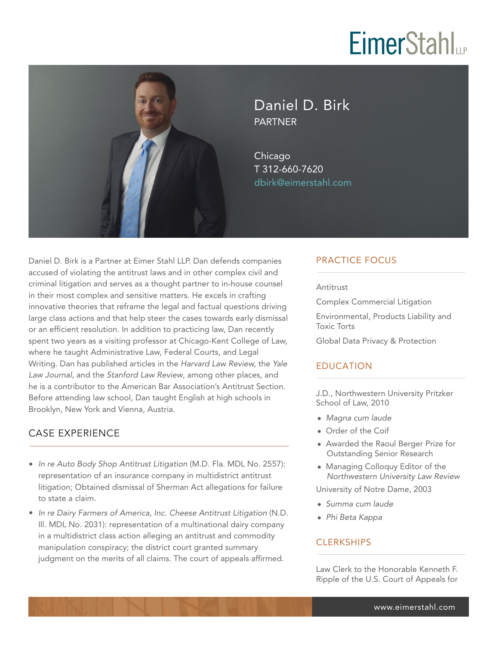# **EimerStahl**



Daniel D. Birk PARTNER

Chicago T 312-660-7620 dbirk@eimerstahl.com

Daniel D. Birk is a Partner at Eimer Stahl LLP. Dan defends companies accused of violating the antitrust laws and in other complex civil and criminal litigation and serves as a thought partner to in-house counsel in their most complex and sensitive matters. He excels in crafting innovative theories that reframe the legal and factual questions driving large class actions and that help steer the cases towards early dismissal or an efficient resolution. In addition to practicing law, Dan recently spent two years as a visiting professor at Chicago-Kent College of Law, where he taught Administrative Law, Federal Courts, and Legal Writing. Dan has published articles in the *Harvard Law Review,* the *Yale Law Journal,* and the *Stanford Law Review*, among other places, and he is a contributor to the American Bar Association's Antitrust Section. Before attending law school, Dan taught English at high schools in Brooklyn, New York and Vienna, Austria.

### CASE EXPERIENCE  $\overline{a}$

- *In re Auto Body Shop Antitrust Litigation* (M.D. Fla. MDL No. 2557): representation of an insurance company in multidistrict antitrust litigation; Obtained dismissal of Sherman Act allegations for failure to state a claim.
- *In re Dairy Farmers of America, Inc. Cheese Antitrust Litigation* (N.D. Ill. MDL No. 2031): representation of a multinational dairy company in a multidistrict class action alleging an antitrust and commodity manipulation conspiracy; the district court granted summary judgment on the merits of all claims. The court of appeals affirmed.

## PRACTICE FOCUS

Antitrust

Complex Commercial Litigation

Environmental, Products Liability and Toxic Torts

Global Data Privacy & Protection

## EDUCATION

J.D., Northwestern University Pritzker School of Law, 2010

- *Magna cum laude*
- Order of the Coif
- Awarded the Raoul Berger Prize for Outstanding Senior Research
- Managing Colloquy Editor of the *Northwestern University Law Review*

University of Notre Dame, 2003

- *Summa cum laude*
- *Phi Beta Kappa*

## **CLERKSHIPS**

Law Clerk to the Honorable Kenneth F. Ripple of the U.S. Court of Appeals for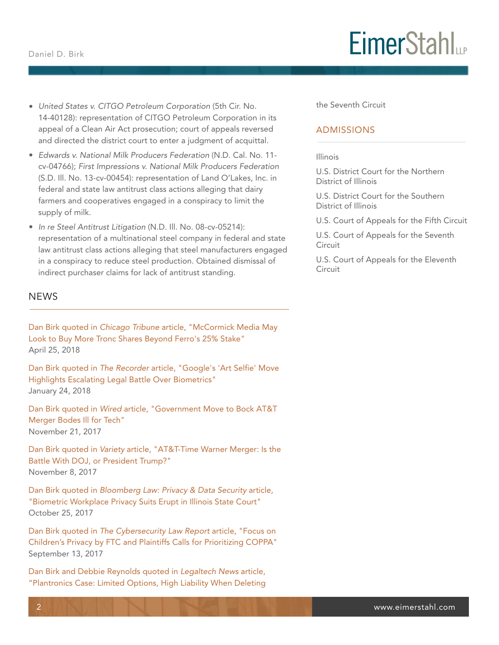- *United States v. CITGO Petroleum Corporation* (5th Cir. No. 14-40128): representation of CITGO Petroleum Corporation in its appeal of a Clean Air Act prosecution; court of appeals reversed and directed the district court to enter a judgment of acquittal.
- *Edwards v. National Milk Producers Federation* (N.D. Cal. No. 11 cv-04766); *First Impressions v. National Milk Producers Federation* (S.D. Ill. No. 13-cv-00454): representation of Land O'Lakes, Inc. in federal and state law antitrust class actions alleging that dairy farmers and cooperatives engaged in a conspiracy to limit the supply of milk.
- *In re Steel Antitrust Litigation* (N.D. Ill. No. 08-cv-05214): representation of a multinational steel company in federal and state law antitrust class actions alleging that steel manufacturers engaged in a conspiracy to reduce steel production. Obtained dismissal of indirect purchaser claims for lack of antitrust standing.

### **NEWS**  $\overline{a}$

Dan Birk quoted in *Chicago Tribune* article, "McCormick Media May Look to Buy More Tronc Shares Beyond Ferro's 25% Stake" April 25, 2018

Dan Birk quoted in *The Recorder* article, "Google's 'Art Selfie' Move Highlights Escalating Legal Battle Over Biometrics" January 24, 2018

Dan Birk quoted in *Wired* article, "Government Move to Bock AT&T Merger Bodes Ill for Tech" November 21, 2017

Dan Birk quoted in *Variety* article, "AT&T-Time Warner Merger: Is the Battle With DOJ, or President Trump?" November 8, 2017

Dan Birk quoted in *Bloomberg Law: Privacy & Data Security* article, "Biometric Workplace Privacy Suits Erupt in Illinois State Court" October 25, 2017

Dan Birk quoted in *The Cybersecurity Law Report* article, "Focus on Children's Privacy by FTC and Plaintiffs Calls for Prioritizing COPPA" September 13, 2017

Dan Birk and Debbie Reynolds quoted in *Legaltech News* article, "Plantronics Case: Limited Options, High Liability When Deleting

## **EimerStahl**

the Seventh Circuit

### ADMISSIONS

#### Illinois

U.S. District Court for the Northern District of Illinois

U.S. District Court for the Southern District of Illinois

U.S. Court of Appeals for the Fifth Circuit

U.S. Court of Appeals for the Seventh **Circuit** 

U.S. Court of Appeals for the Eleventh Circuit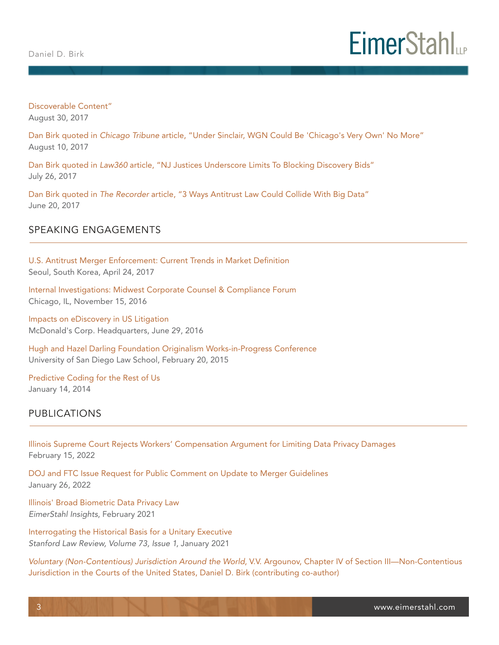

Discoverable Content" August 30, 2017

Dan Birk quoted in *Chicago Tribune* article, "Under Sinclair, WGN Could Be 'Chicago's Very Own' No More" August 10, 2017

Dan Birk quoted in *Law360* article, "NJ Justices Underscore Limits To Blocking Discovery Bids" July 26, 2017

Dan Birk quoted in *The Recorder* article, "3 Ways Antitrust Law Could Collide With Big Data" June 20, 2017

### SPEAKING ENGAGEMENTS I

U.S. Antitrust Merger Enforcement: Current Trends in Market Definition Seoul, South Korea, April 24, 2017

Internal Investigations: Midwest Corporate Counsel & Compliance Forum Chicago, IL, November 15, 2016

Impacts on eDiscovery in US Litigation McDonald's Corp. Headquarters, June 29, 2016

Hugh and Hazel Darling Foundation Originalism Works-in-Progress Conference University of San Diego Law School, February 20, 2015

Predictive Coding for the Rest of Us January 14, 2014

### PUBLICATIONS  $\overline{a}$

Illinois Supreme Court Rejects Workers' Compensation Argument for Limiting Data Privacy Damages February 15, 2022

DOJ and FTC Issue Request for Public Comment on Update to Merger Guidelines January 26, 2022

Illinois' Broad Biometric Data Privacy Law *EimerStahl Insights*, February 2021

Interrogating the Historical Basis for a Unitary Executive *Stanford Law Review, Volume 73, Issue 1*, January 2021

*Voluntary (Non-Contentious) Jurisdiction Around the World*, V.V. Argounov, Chapter IV of Section III—Non-Contentious Jurisdiction in the Courts of the United States, Daniel D. Birk (contributing co-author)